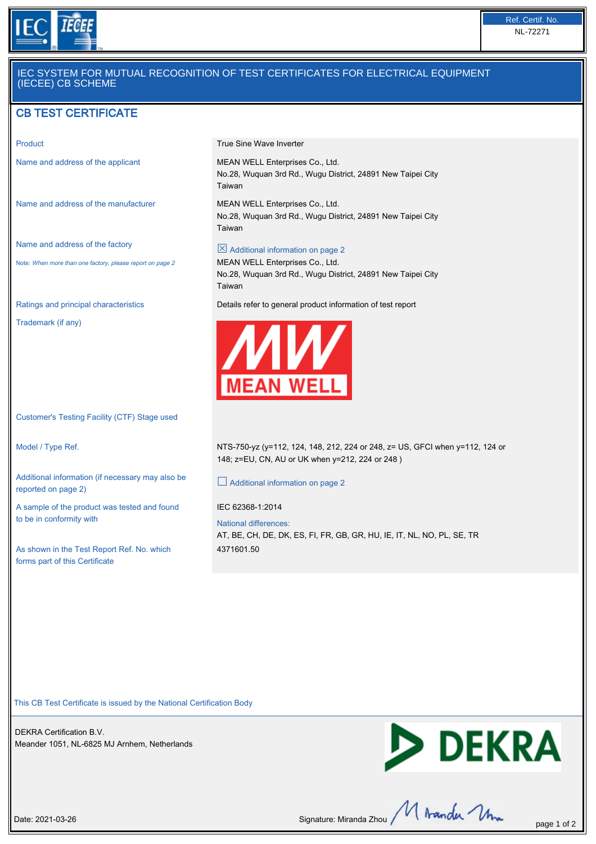

## IEC SYSTEM FOR MUTUAL RECOGNITION OF TEST CERTIFICATES FOR ELECTRICAL EQUIPMENT (IECEE) CB SCHEME

# CB TEST CERTIFICATE

Name and address of the manufacturer MEAN WELL Enterprises Co., Ltd.

Name and address of the factory

Note: When more than one factory, please report on page 2

Trademark (if any)

Customer's Testing Facility (CTF) Stage used

Additional information (if necessary may also be reported on page 2)

A sample of the product was tested and found to be in conformity with

As shown in the Test Report Ref. No. which forms part of this Certificate

Product **Product Product True Sine Wave Inverter** 

Name and address of the applicant MEAN WELL Enterprises Co., Ltd. No.28, Wuquan 3rd Rd., Wugu District, 24891 New Taipei City Taiwan

> No.28, Wuquan 3rd Rd., Wugu District, 24891 New Taipei City Taiwan

 $\boxtimes$  Additional information on page 2 MEAN WELL Enterprises Co., Ltd.

No.28, Wuquan 3rd Rd., Wugu District, 24891 New Taipei City Taiwan

Ratings and principal characteristics Details refer to general product information of test report



Model / Type Ref. NTS-750-yz (y=112, 124, 148, 212, 224 or 248, z= US, GFCI when y=112, 124 or 148; z=EU, CN, AU or UK when y=212, 224 or 248 )

£ Additional information on page 2

IEC 62368-1:2014

National differences: AT, BE, CH, DE, DK, ES, FI, FR, GB, GR, HU, IE, IT, NL, NO, PL, SE, TR 4371601.50

This CB Test Certificate is issued by the National Certification Body

DEKRA Certification B.V. Meander 1051, NL-6825 MJ Arnhem, Netherlands



Date: 2021-03-26 Signature: Miranda Zhou  $\mathcal{M}$  Aranda  $\mathcal{M}_{\text{max}}$  page 1 of 2